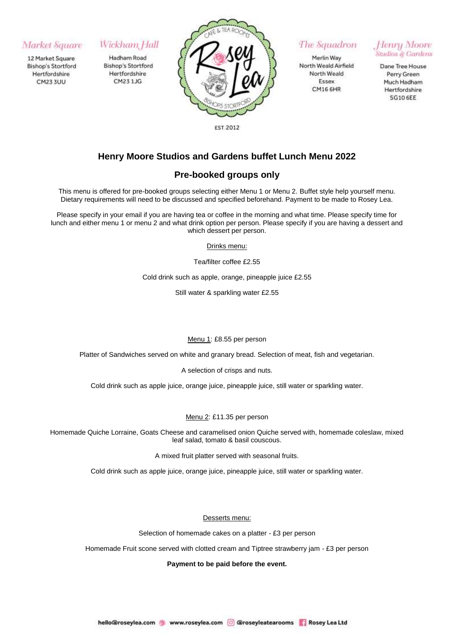## Market Square

12 Market Square **Bishop's Stortford** Hertfordshire **CM23 3UU** 

# Wickham Hall

Hadham Road **Bishop's Stortford** Hertfordshire CM23 1JG



The Squadron

Merlin Way North Weald Airfield North Weald Essex **CM16 6HR** 

Henry Moore Studios & Gardens

Dane Tree House Perry Green Much Hadham Hertfordshire **SG10 6EE** 

# **Henry Moore Studios and Gardens buffet Lunch Menu 2022**

## **Pre-booked groups only**

This menu is offered for pre-booked groups selecting either Menu 1 or Menu 2. Buffet style help yourself menu. Dietary requirements will need to be discussed and specified beforehand. Payment to be made to Rosey Lea.

Please specify in your email if you are having tea or coffee in the morning and what time. Please specify time for lunch and either menu 1 or menu 2 and what drink option per person. Please specify if you are having a dessert and which dessert per person.

Drinks menu:

Tea/filter coffee £2.55

Cold drink such as apple, orange, pineapple juice £2.55

Still water & sparkling water £2.55

### Menu 1: £8.55 per person

Platter of Sandwiches served on white and granary bread. Selection of meat, fish and vegetarian.

A selection of crisps and nuts.

Cold drink such as apple juice, orange juice, pineapple juice, still water or sparkling water.

### Menu 2: £11.35 per person

Homemade Quiche Lorraine, Goats Cheese and caramelised onion Quiche served with, homemade coleslaw, mixed leaf salad, tomato & basil couscous.

A mixed fruit platter served with seasonal fruits.

Cold drink such as apple juice, orange juice, pineapple juice, still water or sparkling water.

Desserts menu:

Selection of homemade cakes on a platter - £3 per person

Homemade Fruit scone served with clotted cream and Tiptree strawberry jam - £3 per person

**Payment to be paid before the event.**